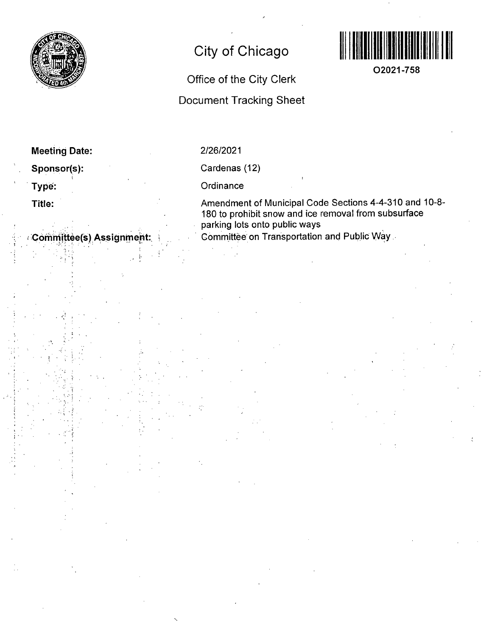

# **City of Chicago**



**O2021-758** 

## Office of the City Clerk

### Document Tracking Sheet

| <b>Meeting Date:</b> |  |
|----------------------|--|
| Sponsor(s):          |  |
| Type:                |  |

**Title:** 

**Committee(s) Assignment:** 

### 2/26/2021

Cardenas (12)

**Ordinance** 

Amendment of Municipal Code Sections 4-4-310 and 10-8- 180 to prohibit snow and ice removal from subsurface parking lots onto public ways Committee on Transportation and Public Way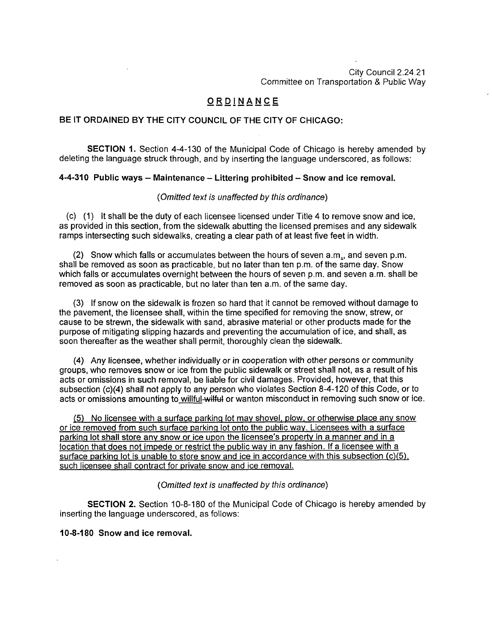City Council 2.24.21 Committee on Transportation & Public Way

#### **ORDINANC E**

#### **BE IT ORDAINED BY THE CITY COUNCIL OF THE CITY OF CHICAGO:**

SECTION 1. Section 4-4-130 of the Municipal Code of Chicago is hereby amended by deleting the language struck through, and by inserting the language underscored, as follows:

#### **4-4-310 Public ways - Maintenance - Littering prohibited - Snow and ice removal.**

#### (Omitted text is unaffected by this ordinance)

(c) (1) It shall be the duty of each licensee licensed under Titie 4 to remove snow and ice, as provided in this section, from the sidewalk abutting the licensed premises and any sidewalk ramps intersecting such sidewalks, creating a clear path of at least five feet in width.

 $(2)$  Snow which falls or accumulates between the hours of seven a.m., and seven p.m. shall be removed as soon as practicable, but no later than ten p.m. ofthe same day. Snow which falls or accumulates overnight between the hours of seven p.m. and seven a.m. shall be removed as soon as practicable, but no later than ten a.m. of the same day.

(3) If snow on the sidewalk is frozen so hard that it cannot be removed without damage to the pavement, the licensee shall, within the time specified for removing the snow, strew, or cause to be strewn, the sidewalk with sand, abrasive material or other products made for the purpose of mitigating slipping hazards and preventing the accumulation of ice, and shall, as soon thereafter as the weather shall permit, thoroughly clean the sidewalk.

(4) Any licensee, whether individually or in cooperation with other persons or community groups, who removes snow or ice from the public sidewalk or street shall not, as a result of his acts or omissions in such removal, be liable for civil damages. Provided, however, that this subsection (c)(4) shall not apply to any person who violates Section 8-4-120 of this Code, or to acts or omissions amounting to willful-witfut or wanton misconduct in removing such snow or ice.

(5) No licensee with a surface parking lot mav shovel, plow, or otherwise place anv snow or ice removed from such surface parking lot onto the public wav. Licensees with a surface parking lot shall store anv snow or ice upon the licensee's property in a manner and in a location that does not impede or restrict the public way in any fashion. If a licensee with a surface parking lot is unable to store snow and ice in accordance with this subsection (c)(5). such licensee shall contract for private snow and ice removal.

#### {Omitted text is unaffected by this ordinance)

SECTION 2. Section 10-8-180 of the Municipal Code of Chicago is hereby amended by inserting the language underscored, as follows:

#### **10-8-180 Snow and ice removal.**